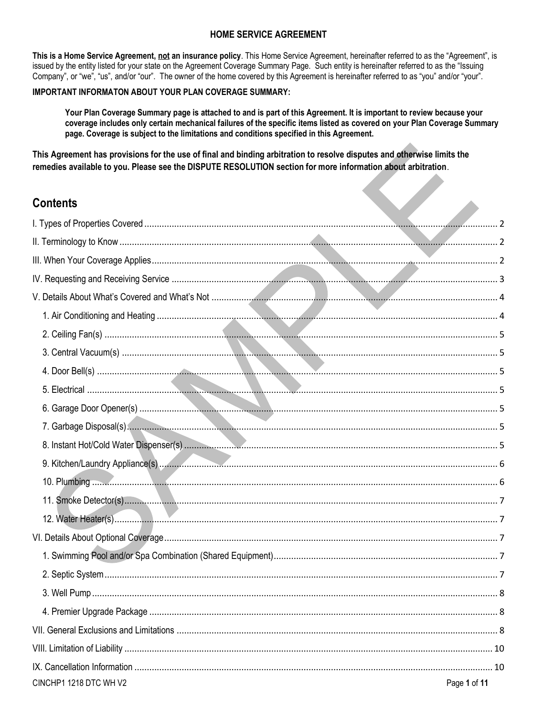# **HOME SERVICE AGREEMENT**

This is a Home Service Agreement, not an insurance policy. This Home Service Agreement, hereinafter referred to as the "Agreement", is issued by the entity listed for your state on the Agreement Coverage Summary Page. Such entity is hereinafter referred to as the "Issuing Company", or "we", "us", and/or "our". The owner of the home covered by this Agreement is hereinafter referred to as "you" and/or "your".

### IMPORTANT INFORMATON ABOUT YOUR PLAN COVERAGE SUMMARY:

Your Plan Coverage Summary page is attached to and is part of this Agreement. It is important to review because your coverage includes only certain mechanical failures of the specific items listed as covered on your Plan Coverage Summary page. Coverage is subject to the limitations and conditions specified in this Agreement.

This Agreement has provisions for the use of final and binding arbitration to resolve disputes and otherwise limits the remedies available to you. Please see the DISPUTE RESOLUTION section for more information about arbitration.

# **Contents**

| <b>Contents</b>        |              |
|------------------------|--------------|
|                        |              |
|                        |              |
|                        |              |
|                        |              |
|                        |              |
|                        |              |
|                        |              |
|                        |              |
|                        |              |
|                        |              |
|                        |              |
|                        |              |
|                        |              |
|                        |              |
|                        |              |
|                        |              |
|                        |              |
|                        |              |
|                        |              |
|                        |              |
|                        |              |
|                        |              |
|                        |              |
|                        |              |
|                        |              |
| CINCHP1 1218 DTC WH V2 | Page 1 of 11 |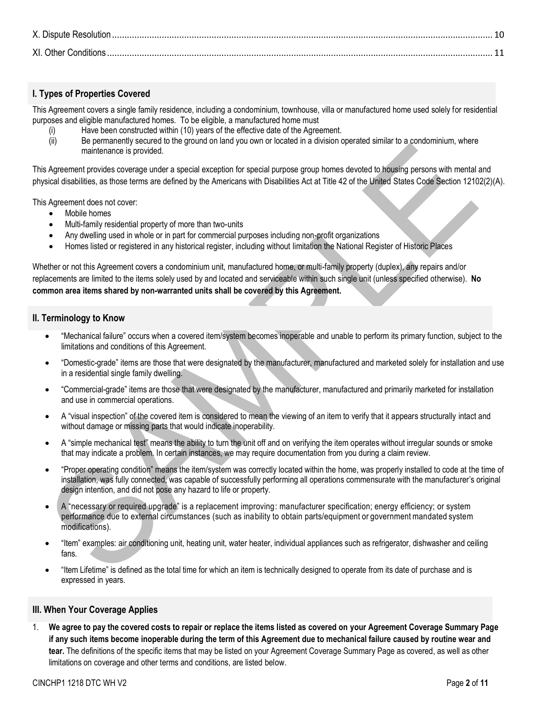# <span id="page-1-0"></span>**I. Types of Properties Covered**

This Agreement covers a single family residence, including a condominium, townhouse, villa or manufactured home used solely for residential purposes and eligible manufactured homes. To be eligible, a manufactured home must

- (i) Have been constructed within (10) years of the effective date of the Agreement.
- (ii) Be permanently secured to the ground on land you own or located in a division operated similar to a condominium, where maintenance is provided.

This Agreement provides coverage under a special exception for special purpose group homes devoted to housing persons with mental and physical disabilities, as those terms are defined by the Americans with Disabilities Act at Title 42 of the United States Code Section 12102(2)(A).

This Agreement does not cover:

- Mobile homes
- Multi-family residential property of more than two-units
- Any dwelling used in whole or in part for commercial purposes including non-profit organizations
- Homes listed or registered in any historical register, including without limitation the National Register of Historic Places

Whether or not this Agreement covers a condominium unit, manufactured home, or multi-family property (duplex), any repairs and/or replacements are limited to the items solely used by and located and serviceable within such single unit (unless specified otherwise). **No common area items shared by non-warranted units shall be covered by this Agreement.**

### <span id="page-1-1"></span>**II. Terminology to Know**

- "Mechanical failure" occurs when a covered item/system becomes inoperable and unable to perform its primary function, subject to the limitations and conditions of this Agreement.
- "Domestic-grade" items are those that were designated by the manufacturer, manufactured and marketed solely for installation and use in a residential single family dwelling.
- "Commercial-grade" items are those that were designated by the manufacturer, manufactured and primarily marketed for installation and use in commercial operations.
- A "visual inspection" of the covered item is considered to mean the viewing of an item to verify that it appears structurally intact and without damage or missing parts that would indicate inoperability.
- A "simple mechanical test" means the ability to turn the unit off and on verifying the item operates without irregular sounds or smoke that may indicate a problem. In certain instances, we may require documentation from you during a claim review.
- "Proper operating condition" means the item/system was correctly located within the home, was properly installed to code at the time of installation, was fully connected, was capable of successfully performing all operations commensurate with the manufacturer's original design intention, and did not pose any hazard to life or property.
- A "necessary or required upgrade" is a replacement improving: manufacturer specification; energy efficiency; or system performance due to external circumstances (such as inability to obtain parts/equipment or government mandated system modifications).
- "Item" examples: air conditioning unit, heating unit, water heater, individual appliances such as refrigerator, dishwasher and ceiling fans.
- "Item Lifetime" is defined as the total time for which an item is technically designed to operate from its date of purchase and is expressed in years.

### <span id="page-1-2"></span>**III. When Your Coverage Applies**

1. **We agree to pay the covered costs to repair or replace the items listed as covered on your Agreement Coverage Summary Page if any such items become inoperable during the term of this Agreement due to mechanical failure caused by routine wear and tear.** The definitions of the specific items that may be listed on your Agreement Coverage Summary Page as covered, as well as other limitations on coverage and other terms and conditions, are listed below.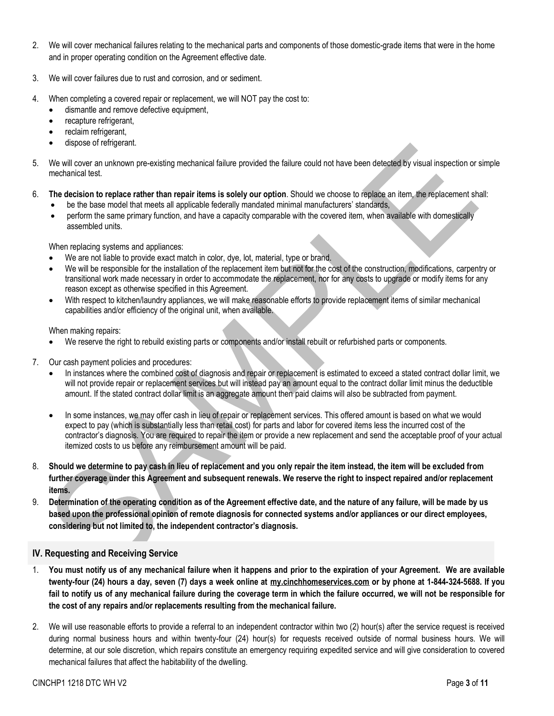- 2. We will cover mechanical failures relating to the mechanical parts and components of those domestic-grade items that were in the home and in proper operating condition on the Agreement effective date.
- 3. We will cover failures due to rust and corrosion, and or sediment.
- 4. When completing a covered repair or replacement, we will NOT pay the cost to:
	- dismantle and remove defective equipment,
	- recapture refrigerant,
	- reclaim refrigerant,
	- dispose of refrigerant.
- 5. We will cover an unknown pre-existing mechanical failure provided the failure could not have been detected by visual inspection or simple mechanical test.
- 6. **The decision to replace rather than repair items is solely our option**. Should we choose to replace an item, the replacement shall:
	- be the base model that meets all applicable federally mandated minimal manufacturers' standards,
	- perform the same primary function, and have a capacity comparable with the covered item, when available with domestically assembled units.

When replacing systems and appliances:

- We are not liable to provide exact match in color, dye, lot, material, type or brand.
- We will be responsible for the installation of the replacement item but not for the cost of the construction, modifications, carpentry or transitional work made necessary in order to accommodate the replacement, nor for any costs to upgrade or modify items for any reason except as otherwise specified in this Agreement.
- With respect to kitchen/laundry appliances, we will make reasonable efforts to provide replacement items of similar mechanical capabilities and/or efficiency of the original unit, when available.

When making repairs:

- We reserve the right to rebuild existing parts or components and/or install rebuilt or refurbished parts or components.
- 7. Our cash payment policies and procedures:
	- In instances where the combined cost of diagnosis and repair or replacement is estimated to exceed a stated contract dollar limit, we will not provide repair or replacement services but will instead pay an amount equal to the contract dollar limit minus the deductible amount. If the stated contract dollar limit is an aggregate amount then paid claims will also be subtracted from payment.
	- In some instances, we may offer cash in lieu of repair or replacement services. This offered amount is based on what we would expect to pay (which is substantially less than retail cost) for parts and labor for covered items less the incurred cost of the contractor's diagnosis. You are required to repair the item or provide a new replacement and send the acceptable proof of your actual itemized costs to us before any reimbursement amount will be paid.
- 8. **Should we determine to pay cash in lieu of replacement and you only repair the item instead, the item will be excluded from further coverage under this Agreement and subsequent renewals. We reserve the right to inspect repaired and/or replacement items.**
- 9. **Determination of the operating condition as of the Agreement effective date, and the nature of any failure, will be made by us based upon the professional opinion of remote diagnosis for connected systems and/or appliances or our direct employees, considering but not limited to, the independent contractor's diagnosis.**

# <span id="page-2-0"></span>**IV. Requesting and Receiving Service**

- 1. **You must notify us of any mechanical failure when it happens and prior to the expiration of your Agreement. We are available twenty-four (24) hours a day, seven (7) days a week online at [my.cinchhomeservices.com](http://www.x.com/) or by phone at 1-844-324-5688. If you fail to notify us of any mechanical failure during the coverage term in which the failure occurred, we will not be responsible for the cost of any repairs and/or replacements resulting from the mechanical failure.**
- 2. We will use reasonable efforts to provide a referral to an independent contractor within two (2) hour(s) after the service request is received during normal business hours and within twenty-four (24) hour(s) for requests received outside of normal business hours. We will determine, at our sole discretion, which repairs constitute an emergency requiring expedited service and will give consideration to covered mechanical failures that affect the habitability of the dwelling.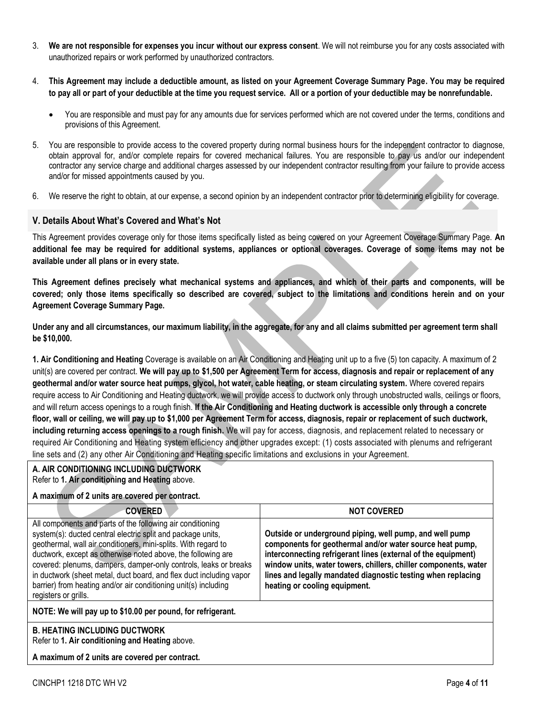- 3. **We are not responsible for expenses you incur without our express consent**. We will not reimburse you for any costs associated with unauthorized repairs or work performed by unauthorized contractors.
- 4. **This Agreement may include a deductible amount, as listed on your Agreement Coverage Summary Page. You may be required to pay all or part of your deductible at the time you request service. All or a portion of your deductible may be nonrefundable.** 
	- You are responsible and must pay for any amounts due for services performed which are not covered under the terms, conditions and provisions of this Agreement.
- 5. You are responsible to provide access to the covered property during normal business hours for the independent contractor to diagnose, obtain approval for, and/or complete repairs for covered mechanical failures. You are responsible to pay us and/or our independent contractor any service charge and additional charges assessed by our independent contractor resulting from your failure to provide access and/or for missed appointments caused by you.
- 6. We reserve the right to obtain, at our expense, a second opinion by an independent contractor prior to determining eligibility for coverage.

### <span id="page-3-0"></span>**V. Details About What's Covered and What's Not**

This Agreement provides coverage only for those items specifically listed as being covered on your Agreement Coverage Summary Page. **An additional fee may be required for additional systems, appliances or optional coverages. Coverage of some items may not be available under all plans or in every state.**

**This Agreement defines precisely what mechanical systems and appliances, and which of their parts and components, will be covered; only those items specifically so described are covered, subject to the limitations and conditions herein and on your Agreement Coverage Summary Page.** 

**Under any and all circumstances, our maximum liability, in the aggregate, for any and all claims submitted per agreement term shall be \$10,000.**

<span id="page-3-1"></span>**1. Air Conditioning and Heating** Coverage is available on an Air Conditioning and Heating unit up to a five (5) ton capacity. A maximum of 2 unit(s) are covered per contract. **We will pay up to \$1,500 per Agreement Term for access, diagnosis and repair or replacement of any geothermal and/or water source heat pumps, glycol, hot water, cable heating, or steam circulating system.** Where covered repairs require access to Air Conditioning and Heating ductwork, we will provide access to ductwork only through unobstructed walls, ceilings or floors, and will return access openings to a rough finish. **If the Air Conditioning and Heating ductwork is accessible only through a concrete floor, wall or ceiling, we will pay up to \$1,000 per Agreement Term for access, diagnosis, repair or replacement of such ductwork, including returning access openings to a rough finish.** We will pay for access, diagnosis, and replacement related to necessary or required Air Conditioning and Heating system efficiency and other upgrades except: (1) costs associated with plenums and refrigerant line sets and (2) any other Air Conditioning and Heating specific limitations and exclusions in your Agreement.

#### **A. AIR CONDITIONING INCLUDING DUCTWORK** Refer to **1. Air conditioning and Heating** above.

### **A maximum of 2 units are covered per contract.**

| <b>COVERED</b>                                                                                                                                                                                                                                                                                                                                                                                                                                                                                    | <b>NOT COVERED</b>                                                                                                                                                                                                                                                                                                                                       |
|---------------------------------------------------------------------------------------------------------------------------------------------------------------------------------------------------------------------------------------------------------------------------------------------------------------------------------------------------------------------------------------------------------------------------------------------------------------------------------------------------|----------------------------------------------------------------------------------------------------------------------------------------------------------------------------------------------------------------------------------------------------------------------------------------------------------------------------------------------------------|
| All components and parts of the following air conditioning<br>system(s): ducted central electric split and package units,<br>geothermal, wall air conditioners, mini-splits. With regard to<br>ductwork, except as otherwise noted above, the following are<br>covered: plenums, dampers, damper-only controls, leaks or breaks<br>in ductwork (sheet metal, duct board, and flex duct including vapor<br>barrier) from heating and/or air conditioning unit(s) including<br>registers or grills. | Outside or underground piping, well pump, and well pump<br>components for geothermal and/or water source heat pump,<br>interconnecting refrigerant lines (external of the equipment)<br>window units, water towers, chillers, chiller components, water<br>lines and legally mandated diagnostic testing when replacing<br>heating or cooling equipment. |
| NOTE: We will pay up to \$10.00 per pound, for refrigerant.                                                                                                                                                                                                                                                                                                                                                                                                                                       |                                                                                                                                                                                                                                                                                                                                                          |

#### **B. HEATING INCLUDING DUCTWORK** Refer to **1. Air conditioning and Heating** above.

**A maximum of 2 units are covered per contract.**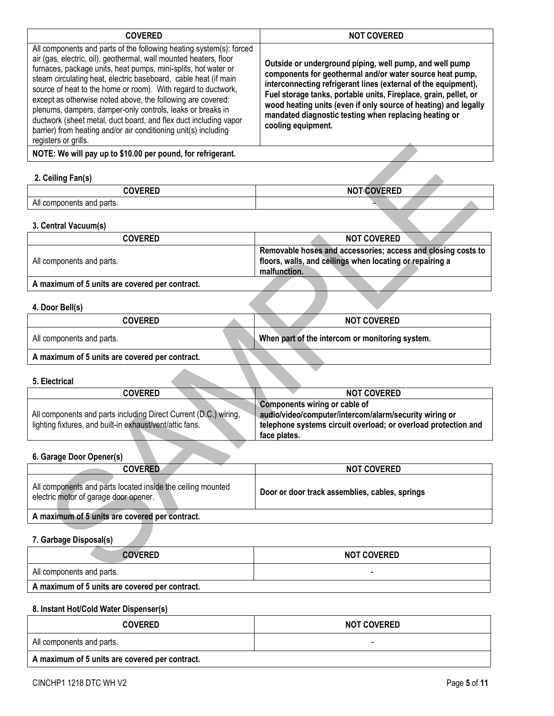| <b>COVERED</b>                                                                                                                                                                                                                                                                                                                                                                                                                                                                                                                                                                                                                             | <b>NOT COVERED</b>                                                                                                                                                                                                                                                                                                                                                                                          |
|--------------------------------------------------------------------------------------------------------------------------------------------------------------------------------------------------------------------------------------------------------------------------------------------------------------------------------------------------------------------------------------------------------------------------------------------------------------------------------------------------------------------------------------------------------------------------------------------------------------------------------------------|-------------------------------------------------------------------------------------------------------------------------------------------------------------------------------------------------------------------------------------------------------------------------------------------------------------------------------------------------------------------------------------------------------------|
| All components and parts of the following heating system(s): forced<br>air (gas, electric, oil), geothermal, wall mounted heaters, floor<br>furnaces, package units, heat pumps, mini-splits, hot water or<br>steam circulating heat, electric baseboard, cable heat (if main<br>source of heat to the home or room). With regard to ductwork,<br>except as otherwise noted above, the following are covered:<br>plenums, dampers, damper-only controls, leaks or breaks in<br>ductwork (sheet metal, duct board, and flex duct including vapor<br>barrier) from heating and/or air conditioning unit(s) including<br>registers or grills. | Outside or underground piping, well pump, and well pump<br>components for geothermal and/or water source heat pump,<br>interconnecting refrigerant lines (external of the equipment),<br>Fuel storage tanks, portable units, Fireplace, grain, pellet, or<br>wood heating units (even if only source of heating) and legally<br>mandated diagnostic testing when replacing heating or<br>cooling equipment. |
| NOTE: We will pay up to \$10.00 per pound, for refrigerant.                                                                                                                                                                                                                                                                                                                                                                                                                                                                                                                                                                                |                                                                                                                                                                                                                                                                                                                                                                                                             |

# <span id="page-4-0"></span>**2. Ceiling Fan(s)**

| ∼                                                 | $\cdots$ $\sim$ $\sim$ $\sim$ $\cdots$ $\sim$ $\sim$<br>N<br>יייי |
|---------------------------------------------------|-------------------------------------------------------------------|
| <b>A</b> 11<br>' parts.<br>and<br>aii<br>mponents |                                                                   |

# <span id="page-4-1"></span>**3. Central Vacuum(s)**

| <b>COVERED</b>                                       | <b>NOT COVERED</b>                                                                                                                       |
|------------------------------------------------------|------------------------------------------------------------------------------------------------------------------------------------------|
| All components and parts.                            | Removable hoses and accessories; access and closing costs to<br>floors, walls, and ceilings when locating or repairing a<br>malfunction. |
| A modulation of E college one accepted was acutuant. |                                                                                                                                          |

<span id="page-4-2"></span>**A maximum of 5 units are covered per contract.** 

# **4. Door Bell(s)**

| <b>COVERED</b>                                 |  | <b>NOT COVERED</b>                              |
|------------------------------------------------|--|-------------------------------------------------|
| All components and parts.                      |  | When part of the intercom or monitoring system. |
| A maximum of 5 units are covered per contract. |  |                                                 |

### <span id="page-4-3"></span>**5. Electrical**

| <b>COVERED</b>                                                   | <b>NOT COVERED</b>                                             |
|------------------------------------------------------------------|----------------------------------------------------------------|
|                                                                  | Components wiring or cable of                                  |
| All components and parts including Direct Current (D.C.) wiring, | audio/video/computer/intercom/alarm/security wiring or         |
| lighting fixtures, and built-in exhaust/vent/attic fans.         | telephone systems circuit overload; or overload protection and |
|                                                                  | face plates.                                                   |
|                                                                  |                                                                |

# <span id="page-4-4"></span>**6. Garage Door Opener(s)**

| <b>COVERED</b>                                                                                       | <b>NOT COVERED</b>                             |
|------------------------------------------------------------------------------------------------------|------------------------------------------------|
| All components and parts located inside the ceiling mounted<br>electric motor of garage door opener. | Door or door track assemblies, cables, springs |
| A maximum of 5 units are covered per contract.                                                       |                                                |

### <span id="page-4-5"></span>**7. Garbage Disposal(s)**

| <b>COVERED</b>                                 | <b>NOT COVERED</b> |
|------------------------------------------------|--------------------|
| All components and parts.                      |                    |
| A maximum of 5 units are covered per contract. |                    |

# <span id="page-4-6"></span>**8. Instant Hot/Cold Water Dispenser(s)**

| <b>COVERED</b>            | <b>NOT COVERED</b> |
|---------------------------|--------------------|
| All components and parts. |                    |
|                           |                    |

**A maximum of 5 units are covered per contract.**

 $\overline{\phantom{a}}$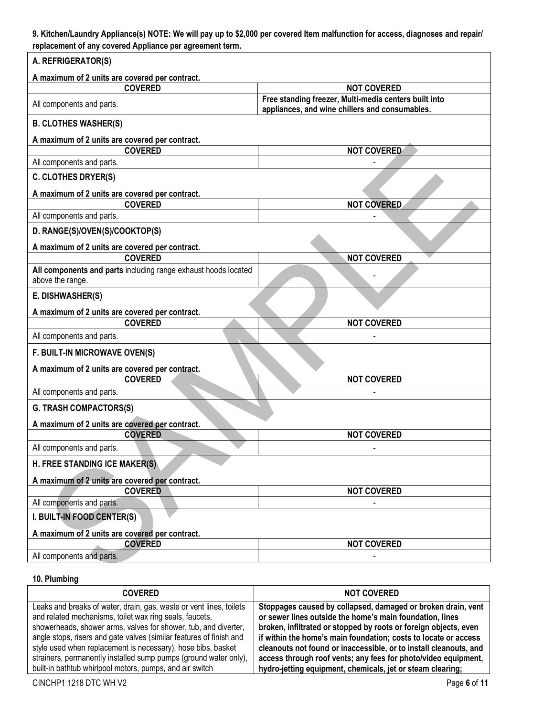# <span id="page-5-0"></span>**9. Kitchen/Laundry Appliance(s) NOTE: We will pay up to \$2,000 per covered Item malfunction for access, diagnoses and repair/ replacement of any covered Appliance per agreement term.**

| A. REFRIGERATOR(S)                                               |                                                                                                         |  |
|------------------------------------------------------------------|---------------------------------------------------------------------------------------------------------|--|
| A maximum of 2 units are covered per contract.                   |                                                                                                         |  |
| <b>COVERED</b>                                                   | <b>NOT COVERED</b>                                                                                      |  |
| All components and parts.                                        | Free standing freezer, Multi-media centers built into<br>appliances, and wine chillers and consumables. |  |
| <b>B. CLOTHES WASHER(S)</b>                                      |                                                                                                         |  |
| A maximum of 2 units are covered per contract.                   |                                                                                                         |  |
| <b>COVERED</b>                                                   | <b>NOT COVERED</b>                                                                                      |  |
| All components and parts.                                        |                                                                                                         |  |
| <b>C. CLOTHES DRYER(S)</b>                                       |                                                                                                         |  |
| A maximum of 2 units are covered per contract.                   |                                                                                                         |  |
| <b>COVERED</b>                                                   | <b>NOT COVERED</b>                                                                                      |  |
| All components and parts.                                        |                                                                                                         |  |
| D. RANGE(S)/OVEN(S)/COOKTOP(S)                                   |                                                                                                         |  |
| A maximum of 2 units are covered per contract.<br><b>COVERED</b> | <b>NOT COVERED</b>                                                                                      |  |
| All components and parts including range exhaust hoods located   |                                                                                                         |  |
| above the range.                                                 |                                                                                                         |  |
| E. DISHWASHER(S)                                                 |                                                                                                         |  |
| A maximum of 2 units are covered per contract.                   |                                                                                                         |  |
| <b>COVERED</b>                                                   | <b>NOT COVERED</b>                                                                                      |  |
| All components and parts.                                        |                                                                                                         |  |
| F. BUILT-IN MICROWAVE OVEN(S)                                    |                                                                                                         |  |
| A maximum of 2 units are covered per contract.                   |                                                                                                         |  |
| <b>COVERED</b>                                                   | <b>NOT COVERED</b>                                                                                      |  |
| All components and parts.                                        |                                                                                                         |  |
| <b>G. TRASH COMPACTORS(S)</b>                                    |                                                                                                         |  |
| A maximum of 2 units are covered per contract.                   |                                                                                                         |  |
| <b>COVERED</b>                                                   | <b>NOT COVERED</b>                                                                                      |  |
| All components and parts.                                        |                                                                                                         |  |
| H. FREE STANDING ICE MAKER(S)                                    |                                                                                                         |  |
| A maximum of 2 units are covered per contract.                   |                                                                                                         |  |
| <b>COVERED</b>                                                   | <b>NOT COVERED</b>                                                                                      |  |
| All components and parts.                                        |                                                                                                         |  |
| I. BUILT-IN FOOD CENTER(S)                                       |                                                                                                         |  |
| A maximum of 2 units are covered per contract.                   |                                                                                                         |  |
| <b>COVERED</b>                                                   | <b>NOT COVERED</b>                                                                                      |  |
| All components and parts.                                        |                                                                                                         |  |

### <span id="page-5-1"></span>**10. Plumbing**

| <b>COVERED</b>                                                                                                                                                                                                                                                                                                                                                                                               | <b>NOT COVERED</b>                                                                                                                                                                                                                                                                                                                                                                                     |
|--------------------------------------------------------------------------------------------------------------------------------------------------------------------------------------------------------------------------------------------------------------------------------------------------------------------------------------------------------------------------------------------------------------|--------------------------------------------------------------------------------------------------------------------------------------------------------------------------------------------------------------------------------------------------------------------------------------------------------------------------------------------------------------------------------------------------------|
| Leaks and breaks of water, drain, gas, waste or vent lines, toilets<br>and related mechanisms, toilet wax ring seals, faucets,<br>showerheads, shower arms, valves for shower, tub, and diverter,<br>angle stops, risers and gate valves (similar features of finish and<br>style used when replacement is necessary), hose bibs, basket<br>strainers, permanently installed sump pumps (ground water only), | Stoppages caused by collapsed, damaged or broken drain, vent<br>or sewer lines outside the home's main foundation, lines<br>broken, infiltrated or stopped by roots or foreign objects, even<br>if within the home's main foundation; costs to locate or access<br>cleanouts not found or inaccessible, or to install cleanouts, and<br>access through roof vents; any fees for photo/video equipment, |
| built-in bathtub whirlpool motors, pumps, and air switch                                                                                                                                                                                                                                                                                                                                                     | hydro-jetting equipment, chemicals, jet or steam clearing;                                                                                                                                                                                                                                                                                                                                             |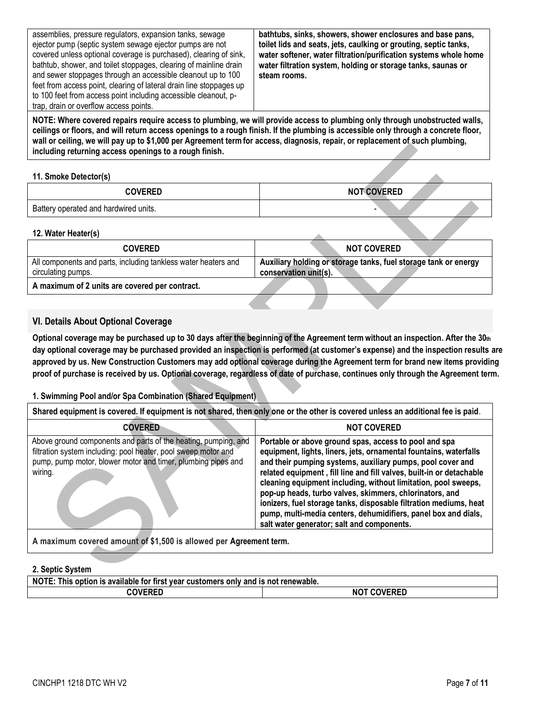| assemblies, pressure regulators, expansion tanks, sewage<br>ejector pump (septic system sewage ejector pumps are not<br>covered unless optional coverage is purchased), clearing of sink,<br>bathtub, shower, and toilet stoppages, clearing of mainline drain<br>and sewer stoppages through an accessible cleanout up to 100<br>feet from access point, clearing of lateral drain line stoppages up | bathtubs, sinks, showers, shower enclosures and base pans,<br>toilet lids and seats, jets, caulking or grouting, septic tanks,<br>water softener, water filtration/purification systems whole home<br>water filtration system, holding or storage tanks, saunas or<br>steam rooms. |
|-------------------------------------------------------------------------------------------------------------------------------------------------------------------------------------------------------------------------------------------------------------------------------------------------------------------------------------------------------------------------------------------------------|------------------------------------------------------------------------------------------------------------------------------------------------------------------------------------------------------------------------------------------------------------------------------------|
| to 100 feet from access point including accessible cleanout, p-                                                                                                                                                                                                                                                                                                                                       |                                                                                                                                                                                                                                                                                    |
| trap, drain or overflow access points.                                                                                                                                                                                                                                                                                                                                                                |                                                                                                                                                                                                                                                                                    |

**NOTE: Where covered repairs require access to plumbing, we will provide access to plumbing only through unobstructed walls, ceilings or floors, and will return access openings to a rough finish. If the plumbing is accessible only through a concrete floor, wall or ceiling, we will pay up to \$1,000 per Agreement term for access, diagnosis, repair, or replacement of such plumbing, including returning access openings to a rough finish.**

### <span id="page-6-0"></span>**11. Smoke Detector(s)**

| <b>COVERED</b>                        | <b>NOT COVERED</b> |
|---------------------------------------|--------------------|
| Battery operated and hardwired units. |                    |

#### <span id="page-6-1"></span>**12. Water Heater(s)**

| <b>COVERED</b>                                                                       | <b>NOT COVERED</b>                                                                       |
|--------------------------------------------------------------------------------------|------------------------------------------------------------------------------------------|
| All components and parts, including tankless water heaters and<br>circulating pumps. | Auxiliary holding or storage tanks, fuel storage tank or energy<br>conservation unit(s). |
| A maximum of 2 units are covered per contract.                                       |                                                                                          |

# <span id="page-6-2"></span>**VI. Details About Optional Coverage**

**Optional coverage may be purchased up to 30 days after the beginning of the Agreement term without an inspection. After the 30th day optional coverage may be purchased provided an inspection is performed (at customer's expense) and the inspection results are approved by us. New Construction Customers may add optional coverage during the Agreement term for brand new items providing proof of purchase is received by us. Optional coverage, regardless of date of purchase, continues only through the Agreement term.**

### <span id="page-6-3"></span>**1. Swimming Pool and/or Spa Combination (Shared Equipment)**

| Shared equipment is covered. If equipment is not shared, then only one or the other is covered unless an additional fee is paid.                                                                            |                                                                                                                                                                                                                                                                                                                                                                                                                                                                                                                                                                                    |
|-------------------------------------------------------------------------------------------------------------------------------------------------------------------------------------------------------------|------------------------------------------------------------------------------------------------------------------------------------------------------------------------------------------------------------------------------------------------------------------------------------------------------------------------------------------------------------------------------------------------------------------------------------------------------------------------------------------------------------------------------------------------------------------------------------|
| <b>COVERED</b>                                                                                                                                                                                              | <b>NOT COVERED</b>                                                                                                                                                                                                                                                                                                                                                                                                                                                                                                                                                                 |
| Above ground components and parts of the heating, pumping, and<br>filtration system including: pool heater, pool sweep motor and<br>pump, pump motor, blower motor and timer, plumbing pipes and<br>wiring. | Portable or above ground spas, access to pool and spa<br>equipment, lights, liners, jets, ornamental fountains, waterfalls<br>and their pumping systems, auxiliary pumps, pool cover and<br>related equipment, fill line and fill valves, built-in or detachable<br>cleaning equipment including, without limitation, pool sweeps,<br>pop-up heads, turbo valves, skimmers, chlorinators, and<br>ionizers, fuel storage tanks, disposable filtration mediums, heat<br>pump, multi-media centers, dehumidifiers, panel box and dials,<br>salt water generator; salt and components. |
| A maximum covered amount of \$1,500 is allowed per Agreement term.                                                                                                                                          |                                                                                                                                                                                                                                                                                                                                                                                                                                                                                                                                                                                    |

### <span id="page-6-4"></span>**2. Septic System**

| <b>NOTE</b><br><br>$\mathfrak s$ option is available for first vear customers $\mathfrak s$<br>s only and is not renewable.<br>l his |                              |
|--------------------------------------------------------------------------------------------------------------------------------------|------------------------------|
| <b>COVERED</b>                                                                                                                       | <b>COVERED</b><br><b>NOT</b> |

┑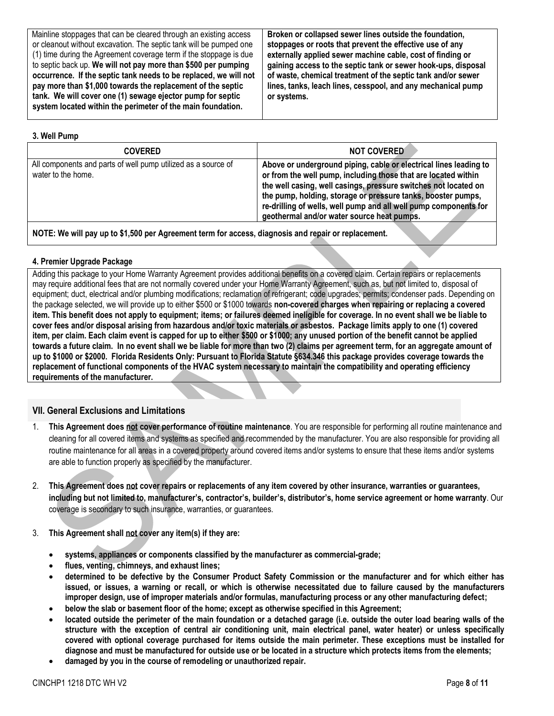Mainline stoppages that can be cleared through an existing access or cleanout without excavation. The septic tank will be pumped one (1) time during the Agreement coverage term if the stoppage is due to septic back up. **We will not pay more than \$500 per pumping occurrence. If the septic tank needs to be replaced, we will not pay more than \$1,000 towards the replacement of the septic tank. We will cover one (1) sewage ejector pump for septic system located within the perimeter of the main foundation.**

**Broken or collapsed sewer lines outside the foundation, stoppages or roots that prevent the effective use of any externally applied sewer machine cable, cost of finding or gaining access to the septic tank or sewer hook-ups, disposal of waste, chemical treatment of the septic tank and/or sewer lines, tanks, leach lines, cesspool, and any mechanical pump or systems.**

### <span id="page-7-0"></span>**3. Well Pump**

| <b>COVERED</b>                                                                      | <b>NOT COVERED</b>                                                                                                                                                                                                                                                                                                                                                                       |
|-------------------------------------------------------------------------------------|------------------------------------------------------------------------------------------------------------------------------------------------------------------------------------------------------------------------------------------------------------------------------------------------------------------------------------------------------------------------------------------|
| All components and parts of well pump utilized as a source of<br>water to the home. | Above or underground piping, cable or electrical lines leading to<br>or from the well pump, including those that are located within<br>the well casing, well casings, pressure switches not located on<br>the pump, holding, storage or pressure tanks, booster pumps,<br>re-drilling of wells, well pump and all well pump components for<br>geothermal and/or water source heat pumps. |
|                                                                                     |                                                                                                                                                                                                                                                                                                                                                                                          |

**NOTE: We will pay up to \$1,500 per Agreement term for access, diagnosis and repair or replacement.**

### <span id="page-7-1"></span>**4. Premier Upgrade Package**

Adding this package to your Home Warranty Agreement provides additional benefits on a covered claim. Certain repairs or replacements may require additional fees that are not normally covered under your Home Warranty Agreement, such as, but not limited to, disposal of equipment; duct, electrical and/or plumbing modifications; reclamation of refrigerant; code upgrades; permits; condenser pads. Depending on the package selected, we will provide up to either \$500 or \$1000 towards **non-covered charges when repairing or replacing a covered item. This benefit does not apply to equipment; items; or failures deemed ineligible for coverage. In no event shall we be liable to cover fees and/or disposal arising from hazardous and/or toxic materials or asbestos. Package limits apply to one (1) covered item, per claim. Each claim event is capped for up to either \$500 or \$1000; any unused portion of the benefit cannot be applied towards a future claim. In no event shall we be liable for more than two (2) claims per agreement term, for an aggregate amount of up to \$1000 or \$2000. Florida Residents Only: Pursuant to Florida Statute §634.346 this package provides coverage towards the replacement of functional components of the HVAC system necessary to maintain the compatibility and operating efficiency requirements of the manufacturer.**

# <span id="page-7-2"></span>**VII. General Exclusions and Limitations**

- 1. **This Agreement does not cover performance of routine maintenance**. You are responsible for performing all routine maintenance and cleaning for all covered items and systems as specified and recommended by the manufacturer. You are also responsible for providing all routine maintenance for all areas in a covered property around covered items and/or systems to ensure that these items and/or systems are able to function properly as specified by the manufacturer.
- 2. **This Agreement does not cover repairs or replacements of any item covered by other insurance, warranties or guarantees, including but not limited to, manufacturer's, contractor's, builder's, distributor's, home service agreement or home warranty**. Our coverage is secondary to such insurance, warranties, or guarantees.
- 3. **This Agreement shall not cover any item(s) if they are:** 
	- **systems, appliances or components classified by the manufacturer as commercial-grade;**
	- **flues, venting, chimneys, and exhaust lines;**
	- **determined to be defective by the Consumer Product Safety Commission or the manufacturer and for which either has issued, or issues, a warning or recall, or which is otherwise necessitated due to failure caused by the manufacturers improper design, use of improper materials and/or formulas, manufacturing process or any other manufacturing defect;**
	- **below the slab or basement floor of the home; except as otherwise specified in this Agreement;**
	- **located outside the perimeter of the main foundation or a detached garage (i.e. outside the outer load bearing walls of the structure with the exception of central air conditioning unit, main electrical panel, water heater) or unless specifically covered with optional coverage purchased for items outside the main perimeter. These exceptions must be installed for diagnose and must be manufactured for outside use or be located in a structure which protects items from the elements;**
	- **damaged by you in the course of remodeling or unauthorized repair.**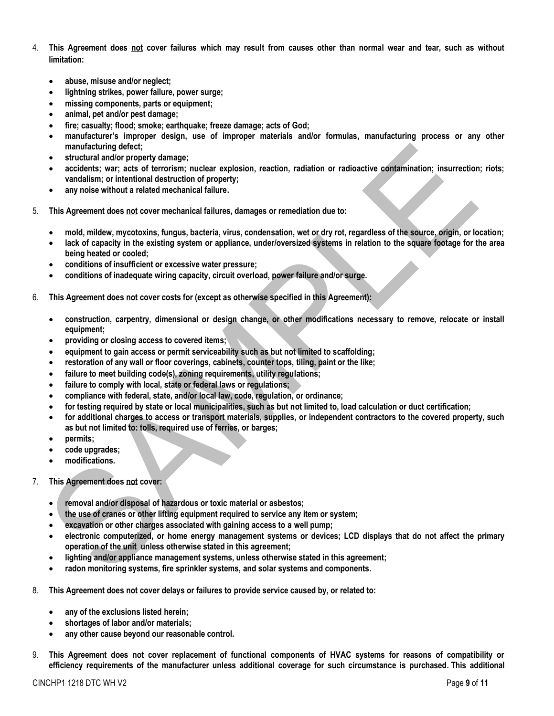- 4. **This Agreement does not cover failures which may result from causes other than normal wear and tear, such as without limitation:** 
	- **abuse, misuse and/or neglect;**
	- **lightning strikes, power failure, power surge;**
	- **missing components, parts or equipment;**
	- **animal, pet and/or pest damage;**
	- **fire; casualty; flood; smoke; earthquake; freeze damage; acts of God;**
	- **manufacturer's improper design, use of improper materials and/or formulas, manufacturing process or any other manufacturing defect;**
	- **structural and/or property damage;**
	- **accidents; war; acts of terrorism; nuclear explosion, reaction, radiation or radioactive contamination; insurrection; riots; vandalism; or intentional destruction of property;**
	- **any noise without a related mechanical failure.**
- 5. **This Agreement does not cover mechanical failures, damages or remediation due to:**
	- **mold, mildew, mycotoxins, fungus, bacteria, virus, condensation, wet or dry rot, regardless of the source, origin, or location;**
	- **lack of capacity in the existing system or appliance, under/oversized systems in relation to the square footage for the area being heated or cooled;**
	- **conditions of insufficient or excessive water pressure;**
	- **conditions of inadequate wiring capacity, circuit overload, power failure and/or surge.**
- 6. **This Agreement does not cover costs for (except as otherwise specified in this Agreement):**
	- **construction, carpentry, dimensional or design change, or other modifications necessary to remove, relocate or install equipment;**
	- **providing or closing access to covered items;**
	- **equipment to gain access or permit serviceability such as but not limited to scaffolding;**
	- **restoration of any wall or floor coverings, cabinets, counter tops, tiling, paint or the like;**
	- **failure to meet building code(s), zoning requirements, utility regulations;**
	- **failure to comply with local, state or federal laws or regulations;**
	- **compliance with federal, state, and/or local law, code, regulation, or ordinance;**
	- **for testing required by state or local municipalities, such as but not limited to, load calculation or duct certification;**
	- **for additional charges to access or transport materials, supplies, or independent contractors to the covered property, such as but not limited to: tolls, required use of ferries, or barges;**
	- **permits;**
	- **code upgrades;**
	- **modifications.**
- 7. **This Agreement does not cover:** 
	- **removal and/or disposal of hazardous or toxic material or asbestos;**
	- **the use of cranes or other lifting equipment required to service any item or system;**
	- **excavation or other charges associated with gaining access to a well pump;**
	- **electronic computerized, or home energy management systems or devices; LCD displays that do not affect the primary operation of the unit unless otherwise stated in this agreement;**
	- **lighting and/or appliance management systems, unless otherwise stated in this agreement;**
	- **radon monitoring systems, fire sprinkler systems, and solar systems and components.**
- 8. **This Agreement does not cover delays or failures to provide service caused by, or related to:** 
	- **any of the exclusions listed herein;**
	- **shortages of labor and/or materials;**
	- **any other cause beyond our reasonable control.**
- 9. **This Agreement does not cover replacement of functional components of HVAC systems for reasons of compatibility or efficiency requirements of the manufacturer unless additional coverage for such circumstance is purchased. This additional**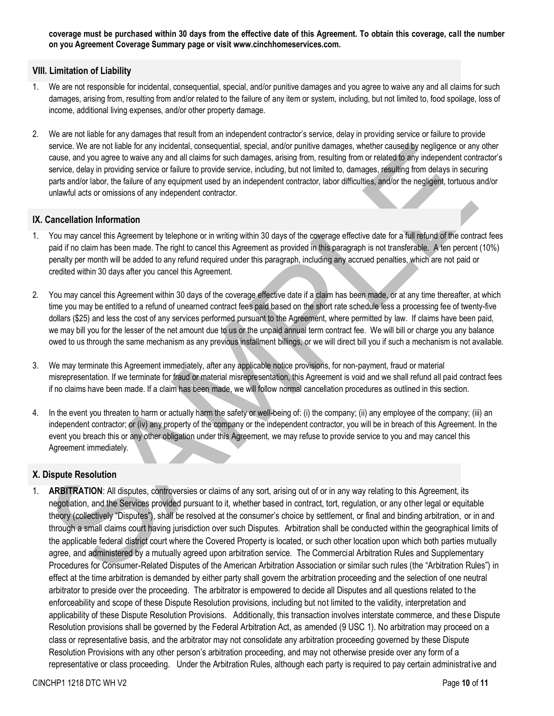**coverage must be purchased within 30 days from the effective date of this Agreement. To obtain this coverage, call the number on you Agreement Coverage Summary page or visit www.cinchhomeservices.com.**

### <span id="page-9-0"></span>**VIII. Limitation of Liability**

- 1. We are not responsible for incidental, consequential, special, and/or punitive damages and you agree to waive any and all claims for such damages, arising from, resulting from and/or related to the failure of any item or system, including, but not limited to, food spoilage, loss of income, additional living expenses, and/or other property damage.
- 2. We are not liable for any damages that result from an independent contractor's service, delay in providing service or failure to provide service. We are not liable for any incidental, consequential, special, and/or punitive damages, whether caused by negligence or any other cause, and you agree to waive any and all claims for such damages, arising from, resulting from or related to any independent contractor's service, delay in providing service or failure to provide service, including, but not limited to, damages, resulting from delays in securing parts and/or labor, the failure of any equipment used by an independent contractor, labor difficulties, and/or the negligent, tortuous and/or unlawful acts or omissions of any independent contractor.

### <span id="page-9-1"></span>**IX. Cancellation Information**

- 1. You may cancel this Agreement by telephone or in writing within 30 days of the coverage effective date for a full refund of the contract fees paid if no claim has been made. The right to cancel this Agreement as provided in this paragraph is not transferable. A ten percent (10%) penalty per month will be added to any refund required under this paragraph, including any accrued penalties, which are not paid or credited within 30 days after you cancel this Agreement.
- 2. You may cancel this Agreement within 30 days of the coverage effective date if a claim has been made, or at any time thereafter, at which time you may be entitled to a refund of unearned contract fees paid based on the short rate schedule less a processing fee of twenty-five dollars (\$25) and less the cost of any services performed pursuant to the Agreement, where permitted by law. If claims have been paid, we may bill you for the lesser of the net amount due to us or the unpaid annual term contract fee. We will bill or charge you any balance owed to us through the same mechanism as any previous installment billings, or we will direct bill you if such a mechanism is not available.
- 3. We may terminate this Agreement immediately, after any applicable notice provisions, for non-payment, fraud or material misrepresentation. If we terminate for fraud or material misrepresentation, this Agreement is void and we shall refund all paid contract fees if no claims have been made. If a claim has been made, we will follow normal cancellation procedures as outlined in this section.
- 4. In the event you threaten to harm or actually harm the safety or well-being of: (i) the company; (ii) any employee of the company; (iii) an independent contractor; or (iv) any property of the company or the independent contractor, you will be in breach of this Agreement. In the event you breach this or any other obligation under this Agreement, we may refuse to provide service to you and may cancel this Agreement immediately.

# <span id="page-9-2"></span>**X. Dispute Resolution**

1. **ARBITRATION**: All disputes, controversies or claims of any sort, arising out of or in any way relating to this Agreement, its negotiation, and the Services provided pursuant to it, whether based in contract, tort, regulation, or any other legal or equitable theory (collectively "Disputes"), shall be resolved at the consumer's choice by settlement, or final and binding arbitration, or in and through a small claims court having jurisdiction over such Disputes. Arbitration shall be conducted within the geographical limits of the applicable federal district court where the Covered Property is located, or such other location upon which both parties mutually agree, and administered by a mutually agreed upon arbitration service. The Commercial Arbitration Rules and Supplementary Procedures for Consumer-Related Disputes of the American Arbitration Association or similar such rules (the "Arbitration Rules") in effect at the time arbitration is demanded by either party shall govern the arbitration proceeding and the selection of one neutral arbitrator to preside over the proceeding. The arbitrator is empowered to decide all Disputes and all questions related to the enforceability and scope of these Dispute Resolution provisions, including but not limited to the validity, interpretation and applicability of these Dispute Resolution Provisions. Additionally, this transaction involves interstate commerce, and these Dispute Resolution provisions shall be governed by the Federal Arbitration Act, as amended (9 USC 1). No arbitration may proceed on a class or representative basis, and the arbitrator may not consolidate any arbitration proceeding governed by these Dispute Resolution Provisions with any other person's arbitration proceeding, and may not otherwise preside over any form of a representative or class proceeding. Under the Arbitration Rules, although each party is required to pay certain administrative and